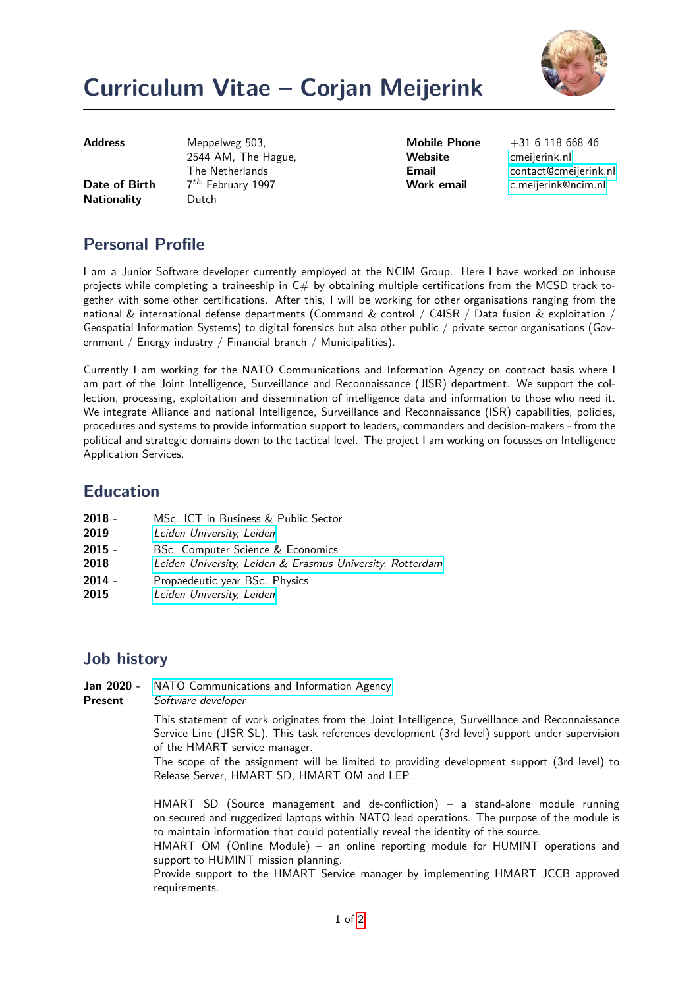

# **Curriculum Vitae – Corjan Meijerink**

**Date of Birth Nationality** Dutch

**Address** Meppelweg 503, 2544 AM, The Hague, The Netherlands  $7^{th}$  February 1997

Website **Constanting Constructs** 

**Mobile Phone** +31 6 118 668 46 **Email** [contact@cmeijerink.nl](mailto:contact@cmeijerink.nl) **Work email** [c.meijerink@ncim.nl](mailto:c.meijerink@ncim.nl)

## **Personal Profile**

I am a Junior Software developer currently employed at the NCIM Group. Here I have worked on inhouse projects while completing a traineeship in  $C#$  by obtaining multiple certifications from the MCSD track together with some other certifications. After this, I will be working for other organisations ranging from the national & international defense departments (Command & control / C4ISR / Data fusion & exploitation / Geospatial Information Systems) to digital forensics but also other public / private sector organisations (Government / Energy industry / Financial branch / Municipalities).

Currently I am working for the NATO Communications and Information Agency on contract basis where I am part of the Joint Intelligence, Surveillance and Reconnaissance (JISR) department. We support the collection, processing, exploitation and dissemination of intelligence data and information to those who need it. We integrate Alliance and national Intelligence, Surveillance and Reconnaissance (ISR) capabilities, policies, procedures and systems to provide information support to leaders, commanders and decision-makers - from the political and strategic domains down to the tactical level. The project I am working on focusses on Intelligence Application Services.

## **Education**

| $2018 -$ |  |  | MSc. ICT in Business & Public Sector |
|----------|--|--|--------------------------------------|
|          |  |  |                                      |

- **2019** [Leiden University, Leiden](https://www.universiteitleiden.nl/en/education/study-programmes/master/ict-in-business-and-the-public-sector/ict-in-business)
- **2015 -** BSc. Computer Science & Economics
- **2018** [Leiden University, Leiden & Erasmus University, Rotterdam](https://www.universiteitleiden.nl/onderwijs/opleidingen/bachelor/informatica-economie)
- **2014 -** Propaedeutic year BSc. Physics
- **2015** [Leiden University, Leiden](http://www.physics.leidenuniv.nl)

## **Job history**

- **Jan 2020 -** [NATO Communications and Information Agency](https://www.ncia.nato.int/)<br>**Present** Software developer
- **Software developer**

This statement of work originates from the Joint Intelligence, Surveillance and Reconnaissance Service Line (JISR SL). This task references development (3rd level) support under supervision of the HMART service manager.

The scope of the assignment will be limited to providing development support (3rd level) to Release Server, HMART SD, HMART OM and LEP.

HMART SD (Source management and de-confliction) – a stand-alone module running on secured and ruggedized laptops within NATO lead operations. The purpose of the module is to maintain information that could potentially reveal the identity of the source.

HMART OM (Online Module) – an online reporting module for HUMINT operations and support to HUMINT mission planning.

Provide support to the HMART Service manager by implementing HMART JCCB approved requirements.